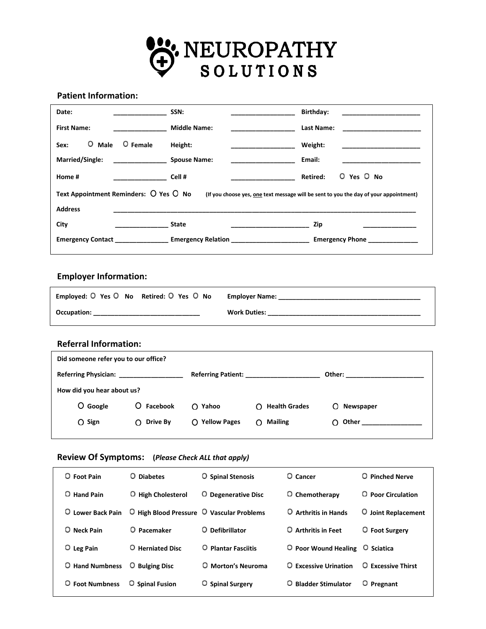

### **Patient Information:**

| Date:                                                                                                                           | SSN:                                        | Birthday:<br>the control of the control of the control of the control of the control of the control of |  |  |
|---------------------------------------------------------------------------------------------------------------------------------|---------------------------------------------|--------------------------------------------------------------------------------------------------------|--|--|
| <b>First Name:</b>                                                                                                              | <b>Middle Name:</b>                         | Last Name:                                                                                             |  |  |
| O Male<br>O Female<br>Sex:                                                                                                      | Height:                                     | Weight:                                                                                                |  |  |
| Married/Single:                                                                                                                 | <b>Spouse Name:</b>                         | Email:                                                                                                 |  |  |
| Home #                                                                                                                          | Cell #                                      | O Yes O No<br><b>Retired:</b>                                                                          |  |  |
| Text Appointment Reminders: O Yes O No<br>(If you choose yes, one text message will be sent to you the day of your appointment) |                                             |                                                                                                        |  |  |
| <b>Address</b>                                                                                                                  |                                             |                                                                                                        |  |  |
| City                                                                                                                            | <b>State</b>                                | Zip                                                                                                    |  |  |
|                                                                                                                                 | <b>Emergency Contact Emergency Relation</b> | <b>Emergency Phone</b>                                                                                 |  |  |

# **Employer Information:**

| Employed: O Yes O No Retired: O Yes O No | Employer Name:      |
|------------------------------------------|---------------------|
| Occupation:                              | <b>Work Duties:</b> |

**\_\_\_\_\_\_\_\_\_\_\_\_\_\_\_\_\_\_\_\_\_\_\_\_\_\_\_\_\_\_\_\_\_\_\_\_\_\_\_\_\_\_\_\_\_\_\_\_\_\_\_\_\_\_\_\_\_\_\_\_\_\_\_\_\_\_\_\_\_\_\_\_\_\_\_\_\_\_\_\_\_\_\_\_\_**

### **Referral Information:**

| Did someone refer you to our office? |              |                           |                         |                 |  |
|--------------------------------------|--------------|---------------------------|-------------------------|-----------------|--|
| Referring Physician:                 |              | <b>Referring Patient:</b> |                         | Other:          |  |
| How did you hear about us?           |              |                           |                         |                 |  |
| O Google                             | O Facebook   | O Yahoo                   | $\bigcap$ Health Grades | Newspaper<br>O  |  |
| $O$ Sign                             | $O$ Drive By | O Yellow Pages            | $\bigcap$ Mailing       | $\bigcap$ Other |  |
|                                      |              |                           |                         |                 |  |

## **Review Of Symptoms: (***Please Check ALL that apply)*

| O Foot Pain        | O Diabetes                                | <b>O</b> Spinal Stenosis   | $O$ Cancer                                                | O Pinched Nerve           |
|--------------------|-------------------------------------------|----------------------------|-----------------------------------------------------------|---------------------------|
| <b>O</b> Hand Pain | <b>High Cholesterol</b><br>O              | O Degenerative Disc        | O Chemotherapy                                            | <b>O</b> Poor Circulation |
| O Lower Back Pain  | O High Blood Pressure O Vascular Problems |                            | O Arthritis in Hands                                      | O Joint Replacement       |
| O Neck Pain        | O Pacemaker                               | O Defibrillator            | O Arthritis in Feet                                       | O Foot Surgery            |
| $O$ Leg Pain       | O Herniated Disc                          | <b>O</b> Plantar Fasciitis | $\overline{O}$ Poor Wound Healing $\overline{O}$ Sciatica |                           |
| O Hand Numbness    | $\overline{O}$ Bulging Disc               | O Morton's Neuroma         | O Excessive Urination                                     | O Excessive Thirst        |
| O Foot Numbness    | <b>O</b> Spinal Fusion                    | O Spinal Surgery           | O Bladder Stimulator                                      | $O$ Pregnant              |
|                    |                                           |                            |                                                           |                           |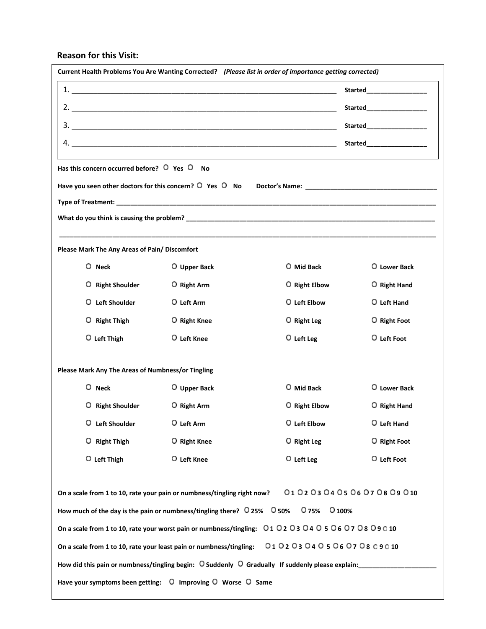#### **Reason for this Visit:**

| Current Health Problems You Are Wanting Corrected? (Please list in order of importance getting corrected)                        |                                                                                                                      |                                                                                                                  |                             |  |
|----------------------------------------------------------------------------------------------------------------------------------|----------------------------------------------------------------------------------------------------------------------|------------------------------------------------------------------------------------------------------------------|-----------------------------|--|
|                                                                                                                                  |                                                                                                                      |                                                                                                                  | <b>Started Example 2016</b> |  |
|                                                                                                                                  |                                                                                                                      |                                                                                                                  | Started__________________   |  |
|                                                                                                                                  |                                                                                                                      |                                                                                                                  | Started_________________    |  |
|                                                                                                                                  |                                                                                                                      |                                                                                                                  | Started_________________    |  |
| Has this concern occurred before? $\overline{O}$ Yes $\overline{O}$ No                                                           |                                                                                                                      | and the control of the control of the control of the control of the control of the control of the control of the |                             |  |
|                                                                                                                                  |                                                                                                                      |                                                                                                                  |                             |  |
|                                                                                                                                  |                                                                                                                      |                                                                                                                  |                             |  |
|                                                                                                                                  |                                                                                                                      |                                                                                                                  |                             |  |
|                                                                                                                                  |                                                                                                                      |                                                                                                                  |                             |  |
| Please Mark The Any Areas of Pain/ Discomfort                                                                                    |                                                                                                                      |                                                                                                                  |                             |  |
| O Neck                                                                                                                           | O Upper Back                                                                                                         | O Mid Back                                                                                                       | O Lower Back                |  |
| O Right Shoulder                                                                                                                 | O Right Arm                                                                                                          | O Right Elbow                                                                                                    | O Right Hand                |  |
| O Left Shoulder                                                                                                                  | O Left Arm                                                                                                           | O Left Elbow                                                                                                     | O Left Hand                 |  |
| O Right Thigh                                                                                                                    | O Right Knee                                                                                                         | O Right Leg                                                                                                      | O Right Foot                |  |
| O Left Thigh                                                                                                                     | O Left Knee                                                                                                          | $O$ Left Leg                                                                                                     | $O$ Left Foot               |  |
| Please Mark Any The Areas of Numbness/or Tingling                                                                                |                                                                                                                      |                                                                                                                  |                             |  |
| $O$ Neck                                                                                                                         | O Upper Back                                                                                                         | O Mid Back                                                                                                       | O Lower Back                |  |
| O Right Shoulder                                                                                                                 | $O$ Right Arm                                                                                                        | O Right Elbow                                                                                                    | O Right Hand                |  |
| O Left Shoulder                                                                                                                  | O Left Arm                                                                                                           | O Left Elbow                                                                                                     | O Left Hand                 |  |
| $O$ Right Thigh                                                                                                                  | O Right Knee                                                                                                         | $O$ Right Leg                                                                                                    | O Right Foot                |  |
| O Left Thigh                                                                                                                     | O Left Knee                                                                                                          | $O$ Left Leg                                                                                                     | O Left Foot                 |  |
| 010203040506070809010<br>On a scale from 1 to 10, rate your pain or numbness/tingling right now?                                 |                                                                                                                      |                                                                                                                  |                             |  |
| How much of the day is the pain or numbness/tingling there? $\overline{O}$ 25% $\overline{O}$ 50% $\overline{O}$ 75%<br>$O$ 100% |                                                                                                                      |                                                                                                                  |                             |  |
| On a scale from 1 to 10, rate your worst pain or numbness/tingling: 010203040506070809010                                        |                                                                                                                      |                                                                                                                  |                             |  |
| On a scale from 1 to 10, rate your least pain or numbness/tingling:                                                              |                                                                                                                      | 010203040506070809010                                                                                            |                             |  |
|                                                                                                                                  |                                                                                                                      |                                                                                                                  |                             |  |
|                                                                                                                                  | How did this pain or numbness/tingling begin: $\circ$ Suddenly $\circ$ Gradually If suddenly please explain: _______ |                                                                                                                  |                             |  |

**Is your balance/ walking ability affected? Yes No If yes, please explain: \_\_\_\_\_\_\_\_\_\_\_\_\_\_\_\_\_\_\_\_\_\_\_\_\_\_\_\_\_\_\_\_\_\_\_\_\_\_**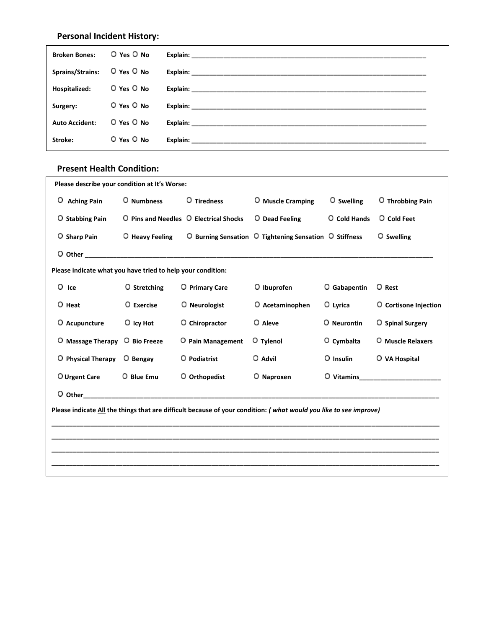# **Personal Incident History:**

| <b>Broken Bones:</b>  | O Yes O No     |                                                                                                                                                                                                                                |
|-----------------------|----------------|--------------------------------------------------------------------------------------------------------------------------------------------------------------------------------------------------------------------------------|
| Sprains/Strains:      | O Yes O No     | Explain: the contract of the contract of the contract of the contract of the contract of the contract of the contract of the contract of the contract of the contract of the contract of the contract of the contract of the c |
| Hospitalized:         | O Yes O No     | Explain: The contract of the contract of the contract of the contract of the contract of the contract of the contract of the contract of the contract of the contract of the contract of the contract of the contract of the c |
| Surgery:              | $O$ Yes $O$ No | Explain: the contract of the contract of the contract of the contract of the contract of the contract of the contract of the contract of the contract of the contract of the contract of the contract of the contract of the c |
| <b>Auto Accident:</b> | $O$ Yes $O$ No | Explain: the contract of the contract of the contract of the contract of the contract of the contract of the contract of the contract of the contract of the contract of the contract of the contract of the contract of the c |
| Stroke:               | O Yes O No     | Explain: _______________                                                                                                                                                                                                       |

#### **Present Health Condition:**

| Please describe your condition at It's Worse:               |                 |                                        |                                                                                                                   |                     |                                                                                                                                                                                                                                |  |
|-------------------------------------------------------------|-----------------|----------------------------------------|-------------------------------------------------------------------------------------------------------------------|---------------------|--------------------------------------------------------------------------------------------------------------------------------------------------------------------------------------------------------------------------------|--|
| O Aching Pain                                               | O Numbness      | O Tiredness                            | O Muscle Cramping                                                                                                 | O Swelling          | O Throbbing Pain                                                                                                                                                                                                               |  |
| O Stabbing Pain                                             |                 | O Pins and Needles O Electrical Shocks | O Dead Feeling                                                                                                    | <b>Q</b> Cold Hands | O Cold Feet                                                                                                                                                                                                                    |  |
| O Sharp Pain                                                | O Heavy Feeling |                                        | O Burning Sensation O Tightening Sensation O Stiffness                                                            |                     | O Swelling                                                                                                                                                                                                                     |  |
|                                                             |                 |                                        |                                                                                                                   |                     |                                                                                                                                                                                                                                |  |
| Please indicate what you have tried to help your condition: |                 |                                        |                                                                                                                   |                     |                                                                                                                                                                                                                                |  |
| $O$ Ice                                                     | O Stretching    | O Primary Care                         | O Ibuprofen                                                                                                       | O Gabapentin        | O Rest                                                                                                                                                                                                                         |  |
| O Heat                                                      | O Exercise      | O Neurologist                          | O Acetaminophen                                                                                                   | O Lyrica            | O Cortisone Injection                                                                                                                                                                                                          |  |
| O Acupuncture                                               | $O$ Icy Hot     | O Chiropractor                         | O Aleve                                                                                                           | O Neurontin         | O Spinal Surgery                                                                                                                                                                                                               |  |
| $O$ Massage Therapy                                         | O Bio Freeze    | O Pain Management                      | O Tylenol                                                                                                         | O Cymbalta          | O Muscle Relaxers                                                                                                                                                                                                              |  |
| O Physical Therapy                                          | O Bengay        | O Podiatrist                           | O Advil                                                                                                           | $O$ Insulin         | O VA Hospital                                                                                                                                                                                                                  |  |
| O Urgent Care                                               | O Blue Emu      | O Orthopedist                          | O Naproxen                                                                                                        |                     | O Vitamins and the contract of the contract of the contract of the contract of the contract of the contract of the contract of the contract of the contract of the contract of the contract of the contract of the contract of |  |
|                                                             |                 |                                        |                                                                                                                   |                     |                                                                                                                                                                                                                                |  |
|                                                             |                 |                                        | Please indicate All the things that are difficult because of your condition: (what would you like to see improve) |                     |                                                                                                                                                                                                                                |  |
|                                                             |                 |                                        |                                                                                                                   |                     |                                                                                                                                                                                                                                |  |
|                                                             |                 |                                        |                                                                                                                   |                     |                                                                                                                                                                                                                                |  |
|                                                             |                 |                                        |                                                                                                                   |                     |                                                                                                                                                                                                                                |  |
|                                                             |                 |                                        |                                                                                                                   |                     |                                                                                                                                                                                                                                |  |